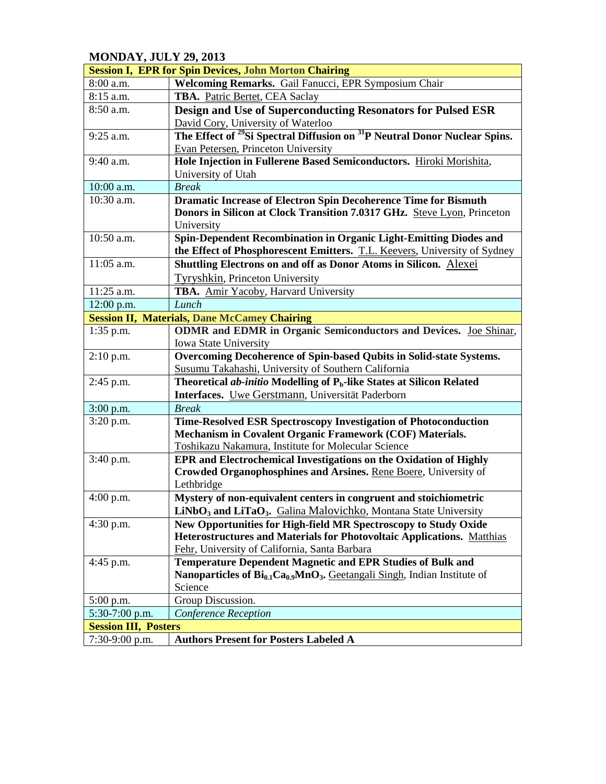## **MONDAY, JULY 29, 2013**

| <b>Session I, EPR for Spin Devices, John Morton Chairing</b> |                                                                                                   |  |
|--------------------------------------------------------------|---------------------------------------------------------------------------------------------------|--|
| 8:00 a.m.                                                    | Welcoming Remarks. Gail Fanucci, EPR Symposium Chair                                              |  |
| 8:15 a.m.                                                    | TBA. Patric Bertet, CEA Saclay                                                                    |  |
| 8:50 a.m.                                                    | Design and Use of Superconducting Resonators for Pulsed ESR                                       |  |
|                                                              | David Cory, University of Waterloo                                                                |  |
| 9:25 a.m.                                                    | The Effect of <sup>29</sup> Si Spectral Diffusion on <sup>31</sup> P Neutral Donor Nuclear Spins. |  |
|                                                              | Evan Petersen, Princeton University                                                               |  |
| $9:40$ a.m.                                                  | Hole Injection in Fullerene Based Semiconductors. Hiroki Morishita,                               |  |
|                                                              | University of Utah                                                                                |  |
| 10:00 a.m.                                                   | <b>Break</b>                                                                                      |  |
| 10:30 a.m.                                                   | <b>Dramatic Increase of Electron Spin Decoherence Time for Bismuth</b>                            |  |
|                                                              | Donors in Silicon at Clock Transition 7.0317 GHz. Steve Lyon, Princeton                           |  |
|                                                              | University                                                                                        |  |
| 10:50 a.m.                                                   | Spin-Dependent Recombination in Organic Light-Emitting Diodes and                                 |  |
|                                                              | the Effect of Phosphorescent Emitters. T.L. Keevers, University of Sydney                         |  |
| 11:05 a.m.                                                   | Shuttling Electrons on and off as Donor Atoms in Silicon. Alexei                                  |  |
|                                                              | Tyryshkin, Princeton University                                                                   |  |
| 11:25 a.m.                                                   | TBA. Amir Yacoby, Harvard University                                                              |  |
| 12:00 p.m.                                                   | Lunch                                                                                             |  |
|                                                              | <b>Session II, Materials, Dane McCamey Chairing</b>                                               |  |
| $1:35$ p.m.                                                  | <b>ODMR</b> and EDMR in Organic Semiconductors and Devices. Joe Shinar,                           |  |
|                                                              | <b>Iowa State University</b>                                                                      |  |
| $2:10$ p.m.                                                  | Overcoming Decoherence of Spin-based Qubits in Solid-state Systems.                               |  |
|                                                              | Susumu Takahashi, University of Southern California                                               |  |
| 2:45 p.m.                                                    | Theoretical <i>ab-initio</i> Modelling of $P_b$ -like States at Silicon Related                   |  |
|                                                              | Interfaces. Uwe Gerstmann, Universität Paderborn                                                  |  |
| $3:00$ p.m.                                                  | <b>Break</b>                                                                                      |  |
| $3:20$ p.m.                                                  | Time-Resolved ESR Spectroscopy Investigation of Photoconduction                                   |  |
|                                                              | Mechanism in Covalent Organic Framework (COF) Materials.                                          |  |
|                                                              | Toshikazu Nakamura, Institute for Molecular Science                                               |  |
| 3:40 p.m.                                                    | EPR and Electrochemical Investigations on the Oxidation of Highly                                 |  |
|                                                              | Crowded Organophosphines and Arsines. Rene Boere, University of                                   |  |
|                                                              | Lethbridge                                                                                        |  |
| $4:00$ p.m.                                                  | Mystery of non-equivalent centers in congruent and stoichiometric                                 |  |
|                                                              | LiNbO <sub>3</sub> and LiTaO <sub>3</sub> . Galina Malovichko, Montana State University           |  |
| $4:30$ p.m.                                                  | New Opportunities for High-field MR Spectroscopy to Study Oxide                                   |  |
|                                                              | Heterostructures and Materials for Photovoltaic Applications. Matthias                            |  |
|                                                              | Fehr, University of California, Santa Barbara                                                     |  |
| $4:45$ p.m.                                                  | <b>Temperature Dependent Magnetic and EPR Studies of Bulk and</b>                                 |  |
|                                                              | <b>Nanoparticles of <math>Bi_{0.1}Ca_{0.9}MnO_3</math>.</b> Geetangali Singh, Indian Institute of |  |
|                                                              | Science                                                                                           |  |
| $5:00$ p.m.                                                  | Group Discussion.                                                                                 |  |
| 5:30-7:00 p.m.                                               | Conference Reception                                                                              |  |
| <b>Session III, Posters</b>                                  |                                                                                                   |  |
| $7:30-9:00$ p.m.                                             | <b>Authors Present for Posters Labeled A</b>                                                      |  |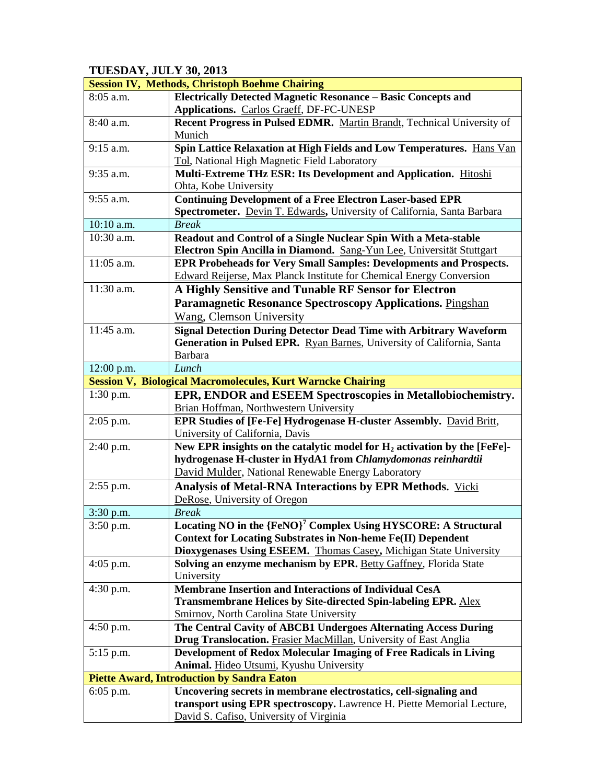## **TUESDAY, JULY 30, 2013**

|                                                   | <b>Session IV, Methods, Christoph Boehme Chairing</b>                       |  |
|---------------------------------------------------|-----------------------------------------------------------------------------|--|
| 8:05 a.m.                                         | <b>Electrically Detected Magnetic Resonance - Basic Concepts and</b>        |  |
|                                                   | Applications. Carlos Graeff, DF-FC-UNESP                                    |  |
| $8:40$ a.m.                                       | Recent Progress in Pulsed EDMR. Martin Brandt, Technical University of      |  |
|                                                   | Munich                                                                      |  |
| 9:15 a.m.                                         | Spin Lattice Relaxation at High Fields and Low Temperatures. Hans Van       |  |
|                                                   | Tol, National High Magnetic Field Laboratory                                |  |
| 9:35 a.m.                                         | Multi-Extreme THz ESR: Its Development and Application. Hitoshi             |  |
|                                                   | Ohta, Kobe University                                                       |  |
| 9:55 a.m.                                         | <b>Continuing Development of a Free Electron Laser-based EPR</b>            |  |
|                                                   | Spectrometer. Devin T. Edwards, University of California, Santa Barbara     |  |
| 10:10 a.m.                                        | <b>Break</b>                                                                |  |
| 10:30 a.m.                                        | Readout and Control of a Single Nuclear Spin With a Meta-stable             |  |
|                                                   | Electron Spin Ancilla in Diamond. Sang-Yun Lee, Universität Stuttgart       |  |
| 11:05 a.m.                                        | <b>EPR Probeheads for Very Small Samples: Developments and Prospects.</b>   |  |
|                                                   | Edward Reijerse, Max Planck Institute for Chemical Energy Conversion        |  |
| 11:30 a.m.                                        | A Highly Sensitive and Tunable RF Sensor for Electron                       |  |
|                                                   | <b>Paramagnetic Resonance Spectroscopy Applications. Pingshan</b>           |  |
|                                                   | Wang, Clemson University                                                    |  |
| 11:45 a.m.                                        | <b>Signal Detection During Detector Dead Time with Arbitrary Waveform</b>   |  |
|                                                   | Generation in Pulsed EPR. Ryan Barnes, University of California, Santa      |  |
|                                                   | Barbara                                                                     |  |
| 12:00 p.m.                                        | Lunch                                                                       |  |
|                                                   | <b>Session V, Biological Macromolecules, Kurt Warncke Chairing</b>          |  |
| $1:30$ p.m.                                       | EPR, ENDOR and ESEEM Spectroscopies in Metallobiochemistry.                 |  |
|                                                   | Brian Hoffman, Northwestern University                                      |  |
| $2:05$ p.m.                                       | EPR Studies of [Fe-Fe] Hydrogenase H-cluster Assembly. David Britt,         |  |
|                                                   | University of California, Davis                                             |  |
| 2:40 p.m.                                         | New EPR insights on the catalytic model for $H_2$ activation by the [FeFe]- |  |
|                                                   | hydrogenase H-cluster in HydA1 from Chlamydomonas reinhardtii               |  |
|                                                   | David Mulder, National Renewable Energy Laboratory                          |  |
| $2:55$ p.m.                                       | Analysis of Metal-RNA Interactions by EPR Methods. Vicki                    |  |
|                                                   | DeRose, University of Oregon                                                |  |
| $3:30$ p.m.                                       | <b>Break</b>                                                                |  |
| $3:50$ p.m.                                       | Locating NO in the {FeNO}' Complex Using HYSCORE: A Structural              |  |
|                                                   | <b>Context for Locating Substrates in Non-heme Fe(II) Dependent</b>         |  |
|                                                   | Dioxygenases Using ESEEM. Thomas Casey, Michigan State University           |  |
| $4:05$ p.m.                                       | Solving an enzyme mechanism by EPR. Betty Gaffney, Florida State            |  |
|                                                   | University                                                                  |  |
| $4:30$ p.m.                                       | <b>Membrane Insertion and Interactions of Individual CesA</b>               |  |
|                                                   | Transmembrane Helices by Site-directed Spin-labeling EPR. Alex              |  |
|                                                   | <b>Smirnov, North Carolina State University</b>                             |  |
| $4:50$ p.m.                                       | The Central Cavity of ABCB1 Undergoes Alternating Access During             |  |
|                                                   | Drug Translocation. Frasier MacMillan, University of East Anglia            |  |
| $5:15$ p.m.                                       | Development of Redox Molecular Imaging of Free Radicals in Living           |  |
|                                                   | Animal. Hideo Utsumi, Kyushu University                                     |  |
| <b>Piette Award, Introduction by Sandra Eaton</b> |                                                                             |  |
| $6:05$ p.m.                                       | Uncovering secrets in membrane electrostatics, cell-signaling and           |  |
|                                                   | transport using EPR spectroscopy. Lawrence H. Piette Memorial Lecture,      |  |
|                                                   | David S. Cafiso, University of Virginia                                     |  |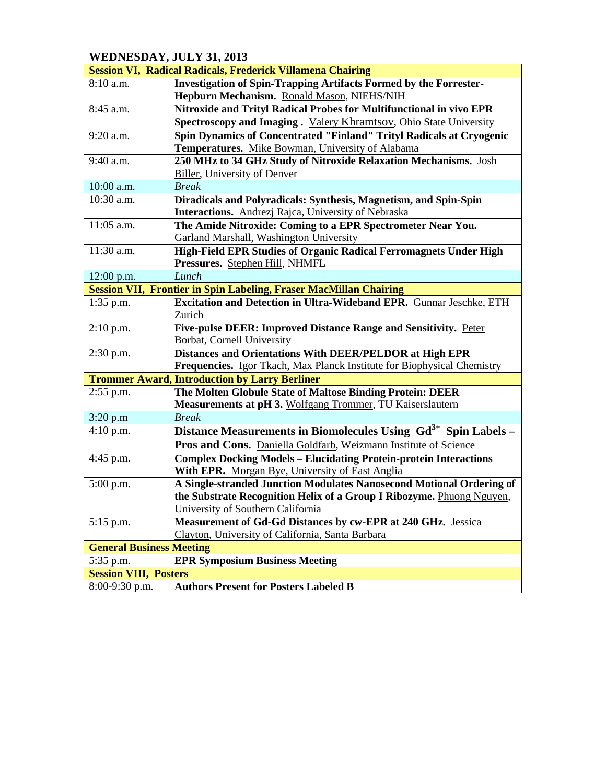## **WEDNESDAY, JULY 31, 2013**

| <b>Session VI, Radical Radicals, Frederick Villamena Chairing</b> |                                                                            |  |
|-------------------------------------------------------------------|----------------------------------------------------------------------------|--|
| $8:10$ a.m.                                                       | <b>Investigation of Spin-Trapping Artifacts Formed by the Forrester-</b>   |  |
|                                                                   | Hepburn Mechanism. Ronald Mason, NIEHS/NIH                                 |  |
| 8:45 a.m.                                                         | Nitroxide and Trityl Radical Probes for Multifunctional in vivo EPR        |  |
|                                                                   | Spectroscopy and Imaging. Valery Khramtsov, Ohio State University          |  |
| $9:20$ a.m.                                                       | Spin Dynamics of Concentrated "Finland" Trityl Radicals at Cryogenic       |  |
|                                                                   | Temperatures. Mike Bowman, University of Alabama                           |  |
| $9:40$ a.m.                                                       | 250 MHz to 34 GHz Study of Nitroxide Relaxation Mechanisms. Josh           |  |
|                                                                   | <b>Biller</b> , University of Denver                                       |  |
| 10:00 a.m.                                                        | <b>Break</b>                                                               |  |
| $10:30$ a.m.                                                      | Diradicals and Polyradicals: Synthesis, Magnetism, and Spin-Spin           |  |
|                                                                   | Interactions. Andrezi Rajca, University of Nebraska                        |  |
| $11:05$ a.m.                                                      | The Amide Nitroxide: Coming to a EPR Spectrometer Near You.                |  |
|                                                                   | Garland Marshall, Washington University                                    |  |
| $11:30$ a.m.                                                      | High-Field EPR Studies of Organic Radical Ferromagnets Under High          |  |
|                                                                   | Pressures. Stephen Hill, NHMFL                                             |  |
| 12:00 p.m.                                                        | Lunch                                                                      |  |
|                                                                   | <b>Session VII, Frontier in Spin Labeling, Fraser MacMillan Chairing</b>   |  |
| $1:35$ p.m.                                                       | Excitation and Detection in Ultra-Wideband EPR. Gunnar Jeschke, ETH        |  |
|                                                                   | Zurich                                                                     |  |
| $2:10$ p.m.                                                       | Five-pulse DEER: Improved Distance Range and Sensitivity. Peter            |  |
|                                                                   | <b>Borbat</b> , Cornell University                                         |  |
| $2:30$ p.m.                                                       | Distances and Orientations With DEER/PELDOR at High EPR                    |  |
|                                                                   | Frequencies. Igor Tkach, Max Planck Institute for Biophysical Chemistry    |  |
|                                                                   | <b>Trommer Award, Introduction by Larry Berliner</b>                       |  |
| $2:55$ p.m.                                                       | The Molten Globule State of Maltose Binding Protein: DEER                  |  |
|                                                                   | <b>Measurements at pH 3. Wolfgang Trommer, TU Kaiserslautern</b>           |  |
| 3:20 p.m                                                          | <b>Break</b>                                                               |  |
| 4:10 p.m.                                                         | Distance Measurements in Biomolecules Using Gd <sup>3+</sup> Spin Labels - |  |
|                                                                   | Pros and Cons. Daniella Goldfarb, Weizmann Institute of Science            |  |
| 4:45 p.m.                                                         | <b>Complex Docking Models - Elucidating Protein-protein Interactions</b>   |  |
|                                                                   | With EPR. Morgan Bye, University of East Anglia                            |  |
| 5:00 p.m.                                                         | A Single-stranded Junction Modulates Nanosecond Motional Ordering of       |  |
|                                                                   | the Substrate Recognition Helix of a Group I Ribozyme. Phuong Nguyen,      |  |
|                                                                   | University of Southern California                                          |  |
| $5:15$ p.m.                                                       | Measurement of Gd-Gd Distances by cw-EPR at 240 GHz. Jessica               |  |
|                                                                   | Clayton, University of California, Santa Barbara                           |  |
| <b>General Business Meeting</b>                                   |                                                                            |  |
| 5:35 p.m.                                                         | <b>EPR Symposium Business Meeting</b>                                      |  |
| <b>Session VIII, Posters</b>                                      |                                                                            |  |
| $8:00-9:30$ p.m.                                                  | <b>Authors Present for Posters Labeled B</b>                               |  |